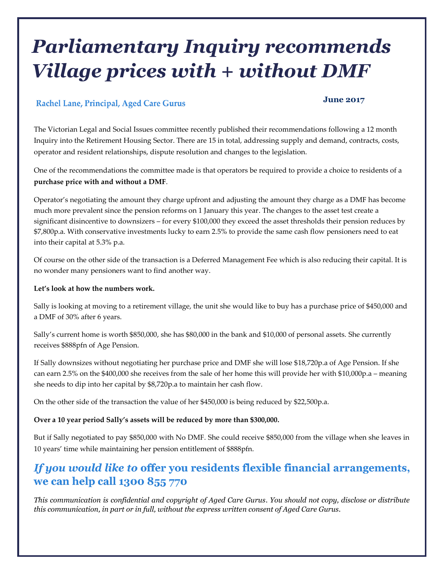# *Parliamentary Inquiry recommends Village prices with + without DMF*

### Rachel Lane, Principal, Aged Care Gurus

### **June 2017**

The Victorian Legal and Social Issues committee recently published their recommendations following a 12 month Inquiry into the Retirement Housing Sector. There are 15 in total, addressing supply and demand, contracts, costs, operator and resident relationships, dispute resolution and changes to the legislation.

One of the recommendations the committee made is that operators be required to provide a choice to residents of a **purchase price with and without a DMF**.

Operator's negotiating the amount they charge upfront and adjusting the amount they charge as a DMF has become much more prevalent since the pension reforms on 1 January this year. The changes to the asset test create a significant disincentive to downsizers – for every \$100,000 they exceed the asset thresholds their pension reduces by \$7,800p.a. With conservative investments lucky to earn 2.5% to provide the same cash flow pensioners need to eat into their capital at 5.3% p.a.

Of course on the other side of the transaction is a Deferred Management Fee which is also reducing their capital. It is no wonder many pensioners want to find another way.

#### **Let's look at how the numbers work.**

Sally is looking at moving to a retirement village, the unit she would like to buy has a purchase price of \$450,000 and a DMF of 30% after 6 years.

Sally's current home is worth \$850,000, she has \$80,000 in the bank and \$10,000 of personal assets. She currently receives \$888pfn of Age Pension.

If Sally downsizes without negotiating her purchase price and DMF she will lose \$18,720p.a of Age Pension. If she can earn 2.5% on the \$400,000 she receives from the sale of her home this will provide her with \$10,000p.a – meaning she needs to dip into her capital by \$8,720p.a to maintain her cash flow.

On the other side of the transaction the value of her \$450,000 is being reduced by \$22,500p.a.

#### **Over a 10 year period Sally's assets will be reduced by more than \$300,000.**

But if Sally negotiated to pay \$850,000 with No DMF. She could receive \$850,000 from the village when she leaves in 10 years' time while maintaining her pension entitlement of \$888pfn.

## If you would like to offer you residents flexible financial arrangements, we can help call 1300 855 770

*This communication is confidential and copyright of Aged Care Gurus. You should not copy, disclose or distribute this communication, in part or in full, without the express written consent of Aged Care Gurus.*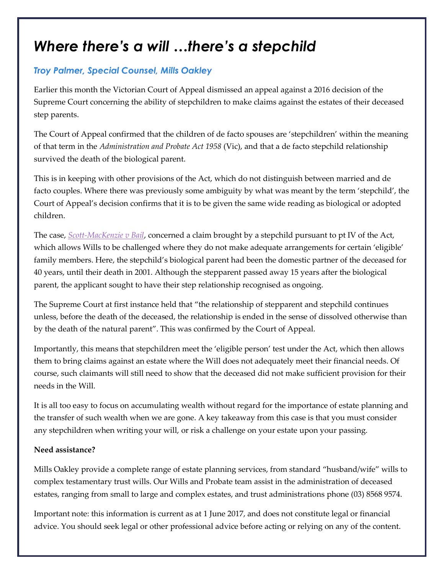## *Where there's a will …there's a stepchild*

### **Troy Palmer, Special Counsel, Mills Oakley**

Earlier this month the Victorian Court of Appeal dismissed an appeal against a 2016 decision of the Supreme Court concerning the ability of stepchildren to make claims against the estates of their deceased step parents.

The Court of Appeal confirmed that the children of de facto spouses are 'stepchildren' within the meaning of that term in the *Administration and Probate Act 1958* (Vic), and that a de facto stepchild relationship survived the death of the biological parent.

This is in keeping with other provisions of the Act, which do not distinguish between married and de facto couples. Where there was previously some ambiguity by what was meant by the term 'stepchild', the Court of Appeal's decision confirms that it is to be given the same wide reading as biological or adopted children.

The case, *[Scott-MacKenzie v Bail](https://jade.io/j/#!/article/529501)*, concerned a claim brought by a stepchild pursuant to pt IV of the Act, which allows Wills to be challenged where they do not make adequate arrangements for certain 'eligible' family members. Here, the stepchild's biological parent had been the domestic partner of the deceased for 40 years, until their death in 2001. Although the stepparent passed away 15 years after the biological parent, the applicant sought to have their step relationship recognised as ongoing.

The Supreme Court at first instance held that "the relationship of stepparent and stepchild continues unless, before the death of the deceased, the relationship is ended in the sense of dissolved otherwise than by the death of the natural parent". This was confirmed by the Court of Appeal.

Importantly, this means that stepchildren meet the 'eligible person' test under the Act, which then allows them to bring claims against an estate where the Will does not adequately meet their financial needs. Of course, such claimants will still need to show that the deceased did not make sufficient provision for their needs in the Will.

It is all too easy to focus on accumulating wealth without regard for the importance of estate planning and the transfer of such wealth when we are gone. A key takeaway from this case is that you must consider any stepchildren when writing your will, or risk a challenge on your estate upon your passing.

### **Need assistance?**

Mills Oakley provide a complete range of estate planning services, from standard "husband/wife" wills to complex testamentary trust wills. Our Wills and Probate team assist in the administration of deceased estates, ranging from small to large and complex estates, and trust administrations phone (03) 8568 9574.

Important note: this information is current as at 1 June 2017, and does not constitute legal or financial advice. You should seek legal or other professional advice before acting or relying on any of the content.